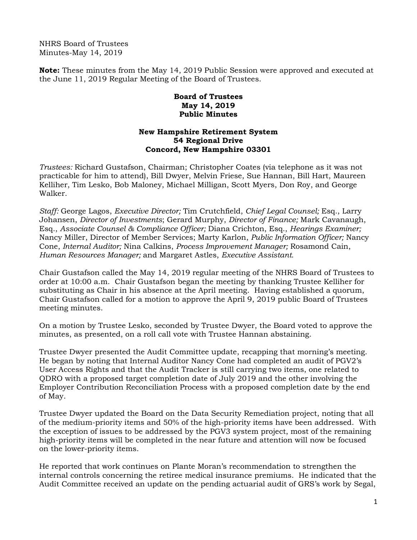NHRS Board of Trustees Minutes-May 14, 2019

**Note:** These minutes from the May 14, 2019 Public Session were approved and executed at the June 11, 2019 Regular Meeting of the Board of Trustees.

## **Board of Trustees May 14, 2019 Public Minutes**

## **New Hampshire Retirement System 54 Regional Drive Concord, New Hampshire 03301**

*Trustees:* Richard Gustafson, Chairman; Christopher Coates (via telephone as it was not practicable for him to attend), Bill Dwyer, Melvin Friese, Sue Hannan, Bill Hart, Maureen Kelliher, Tim Lesko, Bob Maloney, Michael Milligan, Scott Myers, Don Roy, and George Walker.

*Staff:* George Lagos, *Executive Director;* Tim Crutchfield, *Chief Legal Counsel;* Esq., Larry Johansen, *Director of Investments*; Gerard Murphy, *Director of Finance;* Mark Cavanaugh, Esq., *Associate Counsel & Compliance Officer;* Diana Crichton, Esq., *Hearings Examiner;* Nancy Miller, Director of Member Services; Marty Karlon, *Public Information Officer;* Nancy Cone, *Internal Auditor;* Nina Calkins, *Process Improvement Manager;* Rosamond Cain, *Human Resources Manager;* and Margaret Astles, *Executive Assistant.* 

Chair Gustafson called the May 14, 2019 regular meeting of the NHRS Board of Trustees to order at 10:00 a.m. Chair Gustafson began the meeting by thanking Trustee Kelliher for substituting as Chair in his absence at the April meeting. Having established a quorum, Chair Gustafson called for a motion to approve the April 9, 2019 public Board of Trustees meeting minutes.

On a motion by Trustee Lesko, seconded by Trustee Dwyer, the Board voted to approve the minutes, as presented, on a roll call vote with Trustee Hannan abstaining.

Trustee Dwyer presented the Audit Committee update, recapping that morning's meeting. He began by noting that Internal Auditor Nancy Cone had completed an audit of PGV2's User Access Rights and that the Audit Tracker is still carrying two items, one related to QDRO with a proposed target completion date of July 2019 and the other involving the Employer Contribution Reconciliation Process with a proposed completion date by the end of May.

Trustee Dwyer updated the Board on the Data Security Remediation project, noting that all of the medium-priority items and 50% of the high-priority items have been addressed. With the exception of issues to be addressed by the PGV3 system project, most of the remaining high-priority items will be completed in the near future and attention will now be focused on the lower-priority items.

He reported that work continues on Plante Moran's recommendation to strengthen the internal controls concerning the retiree medical insurance premiums. He indicated that the Audit Committee received an update on the pending actuarial audit of GRS's work by Segal,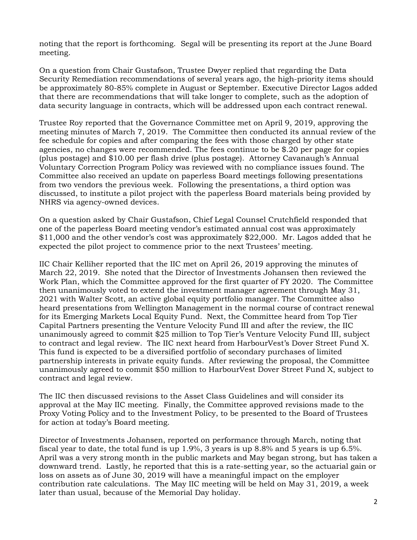noting that the report is forthcoming. Segal will be presenting its report at the June Board meeting.

On a question from Chair Gustafson, Trustee Dwyer replied that regarding the Data Security Remediation recommendations of several years ago, the high-priority items should be approximately 80-85% complete in August or September. Executive Director Lagos added that there are recommendations that will take longer to complete, such as the adoption of data security language in contracts, which will be addressed upon each contract renewal.

Trustee Roy reported that the Governance Committee met on April 9, 2019, approving the meeting minutes of March 7, 2019. The Committee then conducted its annual review of the fee schedule for copies and after comparing the fees with those charged by other state agencies, no changes were recommended. The fees continue to be \$.20 per page for copies (plus postage) and \$10.00 per flash drive (plus postage). Attorney Cavanaugh's Annual Voluntary Correction Program Policy was reviewed with no compliance issues found. The Committee also received an update on paperless Board meetings following presentations from two vendors the previous week. Following the presentations, a third option was discussed, to institute a pilot project with the paperless Board materials being provided by NHRS via agency-owned devices.

On a question asked by Chair Gustafson, Chief Legal Counsel Crutchfield responded that one of the paperless Board meeting vendor's estimated annual cost was approximately \$11,000 and the other vendor's cost was approximately \$22,000. Mr. Lagos added that he expected the pilot project to commence prior to the next Trustees' meeting.

IIC Chair Kelliher reported that the IIC met on April 26, 2019 approving the minutes of March 22, 2019. She noted that the Director of Investments Johansen then reviewed the Work Plan, which the Committee approved for the first quarter of FY 2020. The Committee then unanimously voted to extend the investment manager agreement through May 31, 2021 with Walter Scott, an active global equity portfolio manager. The Committee also heard presentations from Wellington Management in the normal course of contract renewal for its Emerging Markets Local Equity Fund. Next, the Committee heard from Top Tier Capital Partners presenting the Venture Velocity Fund III and after the review, the IIC unanimously agreed to commit \$25 million to Top Tier's Venture Velocity Fund III, subject to contract and legal review. The IIC next heard from HarbourVest's Dover Street Fund X. This fund is expected to be a diversified portfolio of secondary purchases of limited partnership interests in private equity funds. After reviewing the proposal, the Committee unanimously agreed to commit \$50 million to HarbourVest Dover Street Fund X, subject to contract and legal review.

The IIC then discussed revisions to the Asset Class Guidelines and will consider its approval at the May IIC meeting. Finally, the Committee approved revisions made to the Proxy Voting Policy and to the Investment Policy, to be presented to the Board of Trustees for action at today's Board meeting.

Director of Investments Johansen, reported on performance through March, noting that fiscal year to date, the total fund is up 1.9%, 3 years is up 8.8% and 5 years is up 6.5%. April was a very strong month in the public markets and May began strong, but has taken a downward trend. Lastly, he reported that this is a rate-setting year, so the actuarial gain or loss on assets as of June 30, 2019 will have a meaningful impact on the employer contribution rate calculations. The May IIC meeting will be held on May 31, 2019, a week later than usual, because of the Memorial Day holiday.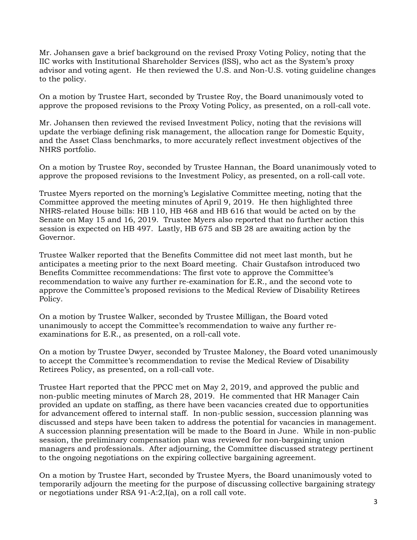Mr. Johansen gave a brief background on the revised Proxy Voting Policy, noting that the IIC works with Institutional Shareholder Services (ISS), who act as the System's proxy advisor and voting agent. He then reviewed the U.S. and Non-U.S. voting guideline changes to the policy.

On a motion by Trustee Hart, seconded by Trustee Roy, the Board unanimously voted to approve the proposed revisions to the Proxy Voting Policy, as presented, on a roll-call vote.

Mr. Johansen then reviewed the revised Investment Policy, noting that the revisions will update the verbiage defining risk management, the allocation range for Domestic Equity, and the Asset Class benchmarks, to more accurately reflect investment objectives of the NHRS portfolio.

On a motion by Trustee Roy, seconded by Trustee Hannan, the Board unanimously voted to approve the proposed revisions to the Investment Policy, as presented, on a roll-call vote.

Trustee Myers reported on the morning's Legislative Committee meeting, noting that the Committee approved the meeting minutes of April 9, 2019. He then highlighted three NHRS-related House bills: HB 110, HB 468 and HB 616 that would be acted on by the Senate on May 15 and 16, 2019. Trustee Myers also reported that no further action this session is expected on HB 497. Lastly, HB 675 and SB 28 are awaiting action by the Governor.

Trustee Walker reported that the Benefits Committee did not meet last month, but he anticipates a meeting prior to the next Board meeting. Chair Gustafson introduced two Benefits Committee recommendations: The first vote to approve the Committee's recommendation to waive any further re-examination for E.R., and the second vote to approve the Committee's proposed revisions to the Medical Review of Disability Retirees Policy.

On a motion by Trustee Walker, seconded by Trustee Milligan, the Board voted unanimously to accept the Committee's recommendation to waive any further reexaminations for E.R., as presented, on a roll-call vote.

On a motion by Trustee Dwyer, seconded by Trustee Maloney, the Board voted unanimously to accept the Committee's recommendation to revise the Medical Review of Disability Retirees Policy, as presented, on a roll-call vote.

Trustee Hart reported that the PPCC met on May 2, 2019, and approved the public and non-public meeting minutes of March 28, 2019. He commented that HR Manager Cain provided an update on staffing, as there have been vacancies created due to opportunities for advancement offered to internal staff. In non-public session, succession planning was discussed and steps have been taken to address the potential for vacancies in management. A succession planning presentation will be made to the Board in June. While in non-public session, the preliminary compensation plan was reviewed for non-bargaining union managers and professionals. After adjourning, the Committee discussed strategy pertinent to the ongoing negotiations on the expiring collective bargaining agreement.

On a motion by Trustee Hart, seconded by Trustee Myers, the Board unanimously voted to temporarily adjourn the meeting for the purpose of discussing collective bargaining strategy or negotiations under RSA 91-A:2,I(a), on a roll call vote.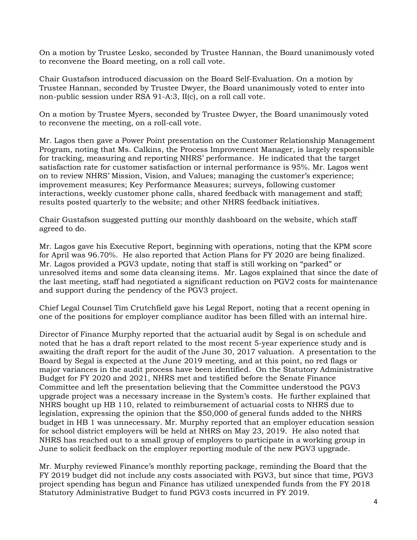On a motion by Trustee Lesko, seconded by Trustee Hannan, the Board unanimously voted to reconvene the Board meeting, on a roll call vote.

Chair Gustafson introduced discussion on the Board Self-Evaluation. On a motion by Trustee Hannan, seconded by Trustee Dwyer, the Board unanimously voted to enter into non-public session under RSA 91-A:3, II(c), on a roll call vote.

On a motion by Trustee Myers, seconded by Trustee Dwyer, the Board unanimously voted to reconvene the meeting, on a roll-call vote.

Mr. Lagos then gave a Power Point presentation on the Customer Relationship Management Program, noting that Ms. Calkins, the Process Improvement Manager, is largely responsible for tracking, measuring and reporting NHRS' performance. He indicated that the target satisfaction rate for customer satisfaction or internal performance is 95%. Mr. Lagos went on to review NHRS' Mission, Vision, and Values; managing the customer's experience; improvement measures; Key Performance Measures; surveys, following customer interactions, weekly customer phone calls, shared feedback with management and staff; results posted quarterly to the website; and other NHRS feedback initiatives.

Chair Gustafson suggested putting our monthly dashboard on the website, which staff agreed to do.

Mr. Lagos gave his Executive Report, beginning with operations, noting that the KPM score for April was 96.70%. He also reported that Action Plans for FY 2020 are being finalized. Mr. Lagos provided a PGV3 update, noting that staff is still working on "parked" or unresolved items and some data cleansing items. Mr. Lagos explained that since the date of the last meeting, staff had negotiated a significant reduction on PGV2 costs for maintenance and support during the pendency of the PGV3 project.

Chief Legal Counsel Tim Crutchfield gave his Legal Report, noting that a recent opening in one of the positions for employer compliance auditor has been filled with an internal hire.

Director of Finance Murphy reported that the actuarial audit by Segal is on schedule and noted that he has a draft report related to the most recent 5-year experience study and is awaiting the draft report for the audit of the June 30, 2017 valuation. A presentation to the Board by Segal is expected at the June 2019 meeting, and at this point, no red flags or major variances in the audit process have been identified. On the Statutory Administrative Budget for FY 2020 and 2021, NHRS met and testified before the Senate Finance Committee and left the presentation believing that the Committee understood the PGV3 upgrade project was a necessary increase in the System's costs. He further explained that NHRS bought up HB 110, related to reimbursement of actuarial costs to NHRS due to legislation, expressing the opinion that the \$50,000 of general funds added to the NHRS budget in HB 1 was unnecessary. Mr. Murphy reported that an employer education session for school district employers will be held at NHRS on May 23, 2019. He also noted that NHRS has reached out to a small group of employers to participate in a working group in June to solicit feedback on the employer reporting module of the new PGV3 upgrade.

Mr. Murphy reviewed Finance's monthly reporting package, reminding the Board that the FY 2019 budget did not include any costs associated with PGV3, but since that time, PGV3 project spending has begun and Finance has utilized unexpended funds from the FY 2018 Statutory Administrative Budget to fund PGV3 costs incurred in FY 2019.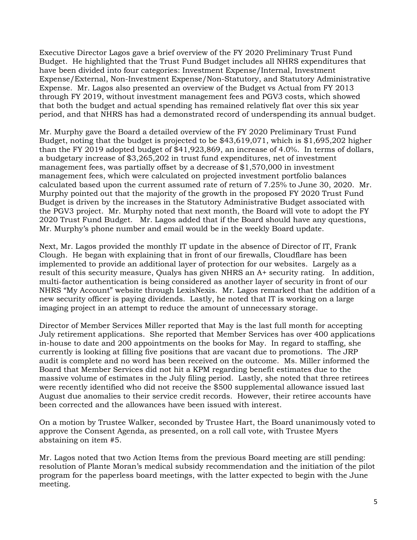Executive Director Lagos gave a brief overview of the FY 2020 Preliminary Trust Fund Budget. He highlighted that the Trust Fund Budget includes all NHRS expenditures that have been divided into four categories: Investment Expense/Internal, Investment Expense/External, Non-Investment Expense/Non-Statutory, and Statutory Administrative Expense. Mr. Lagos also presented an overview of the Budget vs Actual from FY 2013 through FY 2019, without investment management fees and PGV3 costs, which showed that both the budget and actual spending has remained relatively flat over this six year period, and that NHRS has had a demonstrated record of underspending its annual budget.

Mr. Murphy gave the Board a detailed overview of the FY 2020 Preliminary Trust Fund Budget, noting that the budget is projected to be \$43,619,071, which is \$1,695,202 higher than the FY 2019 adopted budget of \$41,923,869, an increase of 4.0%. In terms of dollars, a budgetary increase of \$3,265,202 in trust fund expenditures, net of investment management fees, was partially offset by a decrease of \$1,570,000 in investment management fees, which were calculated on projected investment portfolio balances calculated based upon the current assumed rate of return of 7.25% to June 30, 2020. Mr. Murphy pointed out that the majority of the growth in the proposed FY 2020 Trust Fund Budget is driven by the increases in the Statutory Administrative Budget associated with the PGV3 project. Mr. Murphy noted that next month, the Board will vote to adopt the FY 2020 Trust Fund Budget. Mr. Lagos added that if the Board should have any questions, Mr. Murphy's phone number and email would be in the weekly Board update.

Next, Mr. Lagos provided the monthly IT update in the absence of Director of IT, Frank Clough. He began with explaining that in front of our firewalls, Cloudflare has been implemented to provide an additional layer of protection for our websites. Largely as a result of this security measure, Qualys has given NHRS an A+ security rating. In addition, multi-factor authentication is being considered as another layer of security in front of our NHRS "My Account" website through LexisNexis. Mr. Lagos remarked that the addition of a new security officer is paying dividends. Lastly, he noted that IT is working on a large imaging project in an attempt to reduce the amount of unnecessary storage.

Director of Member Services Miller reported that May is the last full month for accepting July retirement applications. She reported that Member Services has over 400 applications in-house to date and 200 appointments on the books for May. In regard to staffing, she currently is looking at filling five positions that are vacant due to promotions. The JRP audit is complete and no word has been received on the outcome. Ms. Miller informed the Board that Member Services did not hit a KPM regarding benefit estimates due to the massive volume of estimates in the July filing period. Lastly, she noted that three retirees were recently identified who did not receive the \$500 supplemental allowance issued last August due anomalies to their service credit records. However, their retiree accounts have been corrected and the allowances have been issued with interest.

On a motion by Trustee Walker, seconded by Trustee Hart, the Board unanimously voted to approve the Consent Agenda, as presented, on a roll call vote, with Trustee Myers abstaining on item #5.

Mr. Lagos noted that two Action Items from the previous Board meeting are still pending: resolution of Plante Moran's medical subsidy recommendation and the initiation of the pilot program for the paperless board meetings, with the latter expected to begin with the June meeting.